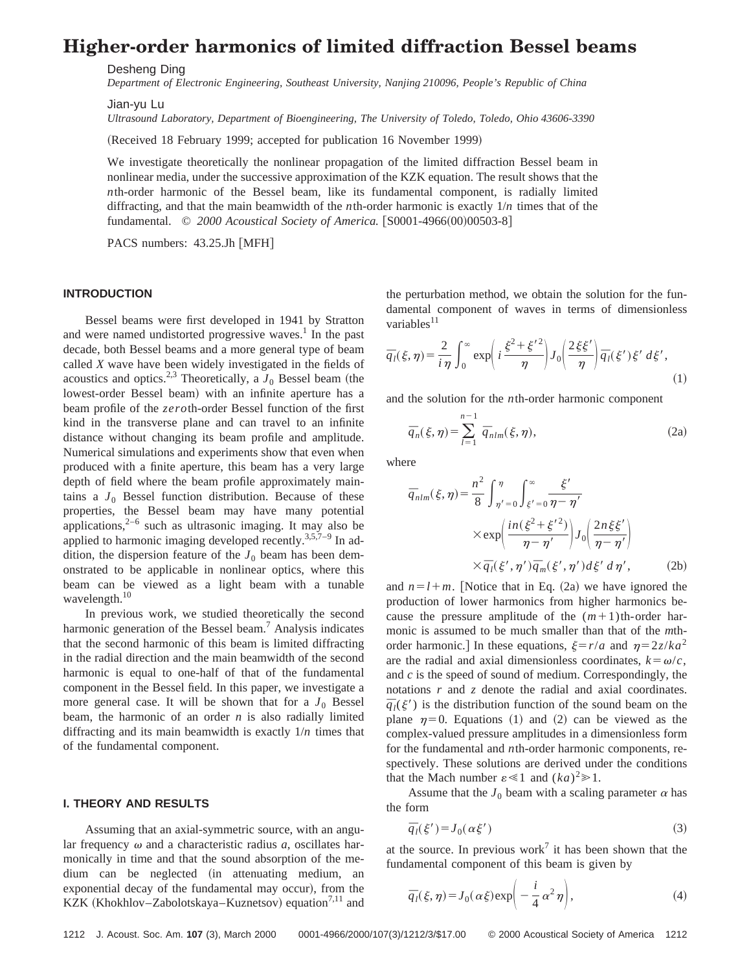# **Higher-order harmonics of limited diffraction Bessel beams**

*Department of Electronic Engineering, Southeast University, Nanjing 210096, People's Republic of China*

Jian-yu Lu

*Ultrasound Laboratory, Department of Bioengineering, The University of Toledo, Toledo, Ohio 43606-3390*

(Received 18 February 1999; accepted for publication 16 November 1999)

We investigate theoretically the nonlinear propagation of the limited diffraction Bessel beam in nonlinear media, under the successive approximation of the KZK equation. The result shows that the *nth-order harmonic of the Bessel beam, like its fundamental component, is radially limited* diffracting, and that the main beamwidth of the *n*th-order harmonic is exactly 1/*n* times that of the fundamental. © 2000 Acoustical Society of America. [S0001-4966(00)00503-8]

PACS numbers: 43.25.Jh [MFH]

#### **INTRODUCTION**

Bessel beams were first developed in 1941 by Stratton and were named undistorted progressive waves.<sup>1</sup> In the past decade, both Bessel beams and a more general type of beam called *X* wave have been widely investigated in the fields of acoustics and optics.<sup>2,3</sup> Theoretically, a  $J_0$  Bessel beam (the lowest-order Bessel beam) with an infinite aperture has a beam profile of the *zero*th-order Bessel function of the first kind in the transverse plane and can travel to an infinite distance without changing its beam profile and amplitude. Numerical simulations and experiments show that even when produced with a finite aperture, this beam has a very large depth of field where the beam profile approximately maintains a  $J_0$  Bessel function distribution. Because of these properties, the Bessel beam may have many potential applications, $2^{-6}$  such as ultrasonic imaging. It may also be applied to harmonic imaging developed recently.<sup>3,5,7-9</sup> In addition, the dispersion feature of the  $J_0$  beam has been demonstrated to be applicable in nonlinear optics, where this beam can be viewed as a light beam with a tunable wavelength.<sup>10</sup>

In previous work, we studied theoretically the second harmonic generation of the Bessel beam.<sup>7</sup> Analysis indicates that the second harmonic of this beam is limited diffracting in the radial direction and the main beamwidth of the second harmonic is equal to one-half of that of the fundamental component in the Bessel field. In this paper, we investigate a more general case. It will be shown that for a  $J_0$  Bessel beam, the harmonic of an order *n* is also radially limited diffracting and its main beamwidth is exactly 1/*n* times that of the fundamental component.

## **I. THEORY AND RESULTS**

Assuming that an axial-symmetric source, with an angular frequency  $\omega$  and a characteristic radius *a*, oscillates harmonically in time and that the sound absorption of the medium can be neglected (in attenuating medium, an exponential decay of the fundamental may occur), from the KZK (Khokhlov–Zabolotskaya–Kuznetsov) equation<sup>7,11</sup> and the perturbation method, we obtain the solution for the fundamental component of waves in terms of dimensionless variables $11$ 

$$
\overline{q}_l(\xi,\eta) = \frac{2}{i\,\eta} \int_0^\infty \exp\left(i\,\frac{\xi^2 + \xi'^2}{\eta}\right) J_0\!\left(\frac{2\,\xi\xi'}{\eta}\right) \overline{q}_l(\xi')\,\xi'\,d\xi'\,,\tag{1}
$$

and the solution for the *n*th-order harmonic component

$$
\overline{q}_n(\xi,\eta) = \sum_{l=1}^{n-1} \overline{q}_{nlm}(\xi,\eta),\tag{2a}
$$

where

$$
\overline{q}_{nlm}(\xi,\eta) = \frac{n^2}{8} \int_{\eta'=0}^{\eta} \int_{\xi'=0}^{\infty} \frac{\xi'}{\eta-\eta'}
$$

$$
\times \exp\left(\frac{in(\xi^2+\xi'^2)}{\eta-\eta'}\right) J_0\left(\frac{2n\xi\xi'}{\eta-\eta'}\right)
$$

$$
\times \overline{q}_l(\xi',\eta') \overline{q}_m(\xi',\eta') d\xi' d\eta', \qquad (2b)
$$

and  $n=l+m$ . [Notice that in Eq. (2a) we have ignored the production of lower harmonics from higher harmonics because the pressure amplitude of the  $(m+1)$ th-order harmonic is assumed to be much smaller than that of the *m*thorder harmonic.] In these equations,  $\xi = r/a$  and  $\eta = 2z/ka^2$ are the radial and axial dimensionless coordinates,  $k = \omega/c$ , and *c* is the speed of sound of medium. Correspondingly, the notations *r* and *z* denote the radial and axial coordinates.  $\bar{q}_l(\xi')$  is the distribution function of the sound beam on the plane  $\eta=0$ . Equations (1) and (2) can be viewed as the complex-valued pressure amplitudes in a dimensionless form for the fundamental and *n*th-order harmonic components, respectively. These solutions are derived under the conditions that the Mach number  $\varepsilon \ll 1$  and  $(ka)^2 \gg 1$ .

Assume that the  $J_0$  beam with a scaling parameter  $\alpha$  has the form

$$
\overline{q}_l(\xi') = J_0(\alpha \xi') \tag{3}
$$

at the source. In previous work<sup>7</sup> it has been shown that the fundamental component of this beam is given by

$$
\overline{q}_l(\xi,\eta) = J_0(\alpha\xi) \exp\biggl(-\frac{i}{4}\alpha^2\eta\biggr),\tag{4}
$$

Desheng Ding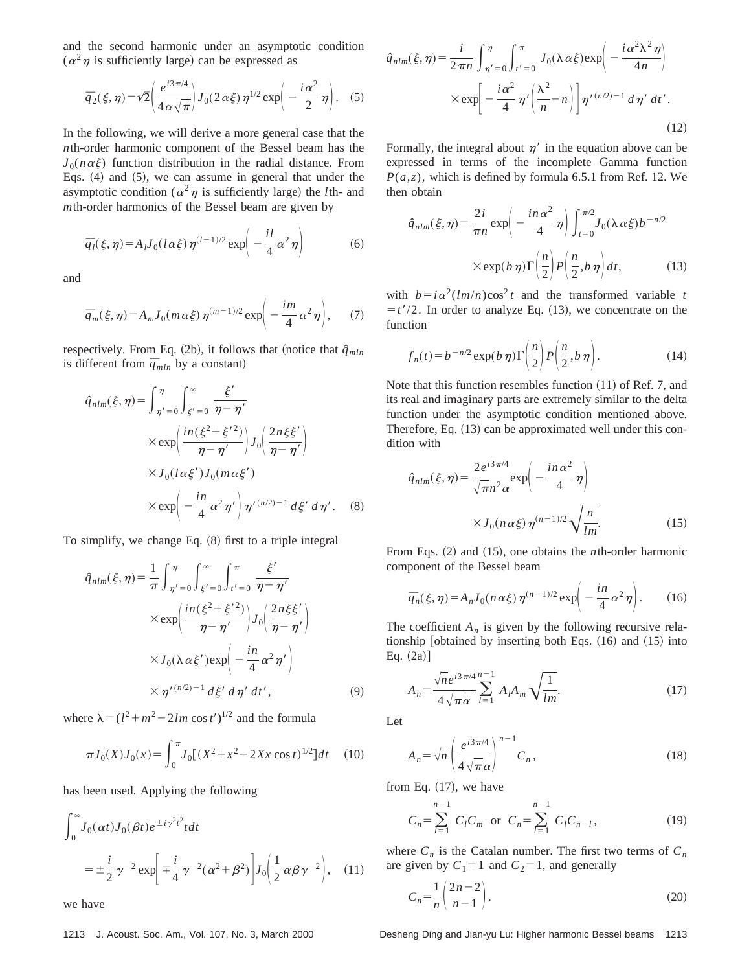and the second harmonic under an asymptotic condition  $(\alpha^2 \eta)$  is sufficiently large) can be expressed as

$$
\overline{q}_2(\xi,\eta) = \sqrt{2} \left( \frac{e^{i3\pi/4}}{4\alpha\sqrt{\pi}} \right) J_0(2\alpha\xi) \eta^{1/2} \exp \left( -\frac{i\alpha^2}{2} \eta \right). \tag{5}
$$

In the following, we will derive a more general case that the *n*th-order harmonic component of the Bessel beam has the  $J_0(n \alpha \xi)$  function distribution in the radial distance. From Eqs.  $(4)$  and  $(5)$ , we can assume in general that under the asymptotic condition ( $\alpha^2 \eta$  is sufficiently large) the *l*th- and *m*th-order harmonics of the Bessel beam are given by

$$
\overline{q}_l(\xi,\eta) = A_l J_0(l\alpha\xi)\,\eta^{(l-1)/2} \exp\!\left(-\frac{il}{4}\,\alpha^2\,\eta\right) \tag{6}
$$

and

$$
\overline{q}_m(\xi,\eta) = A_m J_0(m\,\alpha\xi)\,\eta^{(m-1)/2} \exp\bigg(-\frac{im}{4}\,\alpha^2\,\eta\bigg),\qquad(7)
$$

respectively. From Eq.  $(2b)$ , it follows that (notice that  $\hat{q}_{mln}$ is different from  $\bar{q}_{mln}$  by a constant)

$$
\hat{q}_{nlm}(\xi,\eta) = \int_{\eta'=0}^{\eta} \int_{\xi'=0}^{\infty} \frac{\xi'}{\eta-\eta'}
$$
\n
$$
\times \exp\left(\frac{in(\xi^2+\xi'^2)}{\eta-\eta'}\right) J_0\left(\frac{2n\xi\xi'}{\eta-\eta'}\right)
$$
\n
$$
\times J_0(l\alpha\xi')J_0(m\alpha\xi')
$$
\n
$$
\times \exp\left(-\frac{in}{4}\alpha^2\eta'\right)\eta'^{(n/2)-1}d\xi' d\eta'. \quad (8)
$$

To simplify, we change Eq.  $(8)$  first to a triple integral

$$
\hat{q}_{nlm}(\xi,\eta) = \frac{1}{\pi} \int_{\eta'=0}^{\eta} \int_{\xi'=0}^{\infty} \int_{t'=0}^{\pi} \frac{\xi'}{\eta-\eta'}
$$

$$
\times \exp\left(\frac{in(\xi^2+\xi'^2)}{\eta-\eta'}\right) J_0\left(\frac{2n\xi\xi'}{\eta-\eta'}\right)
$$

$$
\times J_0(\lambda \alpha \xi') \exp\left(-\frac{in}{4} \alpha^2 \eta'\right)
$$

$$
\times \eta'^{(n/2)-1} d\xi' d\eta' d t', \qquad (9)
$$

where  $\lambda = (l^2 + m^2 - 2lm \cos t')^{1/2}$  and the formula

$$
\pi J_0(X)J_0(x) = \int_0^{\pi} J_0[(X^2 + x^2 - 2Xx \cos t)^{1/2}]dt \quad (10)
$$

has been used. Applying the following

$$
\int_0^\infty J_0(\alpha t) J_0(\beta t) e^{\pm i \gamma^2 t^2} t dt
$$
  
=  $\pm \frac{i}{2} \gamma^{-2} \exp\left[\mp \frac{i}{4} \gamma^{-2} (\alpha^2 + \beta^2)\right] J_0\left(\frac{1}{2} \alpha \beta \gamma^{-2}\right),$  (11)

we have

$$
\hat{q}_{nlm}(\xi,\eta) = \frac{i}{2\pi n} \int_{\eta'=0}^{\eta} \int_{t'=0}^{\pi} J_0(\lambda \alpha \xi) \exp\left(-\frac{i\alpha^2 \lambda^2 \eta}{4n}\right)
$$

$$
\times \exp\left[-\frac{i\alpha^2}{4} \eta' \left(\frac{\lambda^2}{n} - n\right)\right] \eta'^{(n/2)-1} d\eta' dt'.
$$
\n(12)

Formally, the integral about  $\eta'$  in the equation above can be expressed in terms of the incomplete Gamma function  $P(a,z)$ , which is defined by formula 6.5.1 from Ref. 12. We then obtain

$$
\hat{q}_{nlm}(\xi,\eta) = \frac{2i}{\pi n} \exp\left(-\frac{in\alpha^2}{4}\eta\right) \int_{t=0}^{\pi/2} J_0(\lambda \alpha \xi) b^{-n/2}
$$

$$
\times \exp(b\eta) \Gamma\left(\frac{n}{2}\right) P\left(\frac{n}{2}, b\eta\right) dt, \tag{13}
$$

with  $b=i\alpha^2(lm/n)\cos^2 t$  and the transformed variable *t*  $=t'/2$ . In order to analyze Eq. (13), we concentrate on the function

$$
f_n(t) = b^{-n/2} \exp(b \eta) \Gamma\left(\frac{n}{2}\right) P\left(\frac{n}{2}, b \eta\right). \tag{14}
$$

Note that this function resembles function  $(11)$  of Ref. 7, and its real and imaginary parts are extremely similar to the delta function under the asymptotic condition mentioned above. Therefore, Eq.  $(13)$  can be approximated well under this condition with

$$
\hat{q}_{nlm}(\xi,\eta) = \frac{2e^{i3\pi/4}}{\sqrt{\pi n^2 \alpha}} \exp\left(-\frac{in\alpha^2}{4}\eta\right)
$$

$$
\times J_0(n\alpha\xi)\,\eta^{(n-1)/2}\sqrt{\frac{n}{lm}}.\tag{15}
$$

From Eqs. (2) and (15), one obtains the *n*th-order harmonic component of the Bessel beam

$$
\overline{q}_n(\xi,\eta) = A_n J_0(n\,\alpha\xi)\,\eta^{(n-1)/2} \exp\bigg(-\frac{in}{4}\,\alpha^2\,\eta\bigg). \qquad (16)
$$

The coefficient  $A_n$  is given by the following recursive relationship  $[obtained by inserting both Eqs. (16) and (15) into$ Eq.  $(2a)$ ]

$$
A_n = \frac{\sqrt{n}e^{i3\pi/4n - 1}}{4\sqrt{\pi}\alpha} \sum_{l=1}^{n-1} A_l A_m \sqrt{\frac{1}{lm}}.
$$
 (17)

Let

$$
A_n = \sqrt{n} \left( \frac{e^{i3\pi/4}}{4\sqrt{\pi}\alpha} \right)^{n-1} C_n, \qquad (18)
$$

from Eq.  $(17)$ , we have

$$
C_n = \sum_{l=1}^{n-1} C_l C_m \text{ or } C_n = \sum_{l=1}^{n-1} C_l C_{n-l},
$$
 (19)

where  $C_n$  is the Catalan number. The first two terms of  $C_n$ are given by  $C_1 = 1$  and  $C_2 = 1$ , and generally

$$
C_n = \frac{1}{n} \binom{2n-2}{n-1}.
$$
\n
$$
(20)
$$

1213 J. Acoust. Soc. Am., Vol. 107, No. 3, March 2000 Desheng Ding and Jian-yu Lu: Higher harmonic Bessel beams 1213